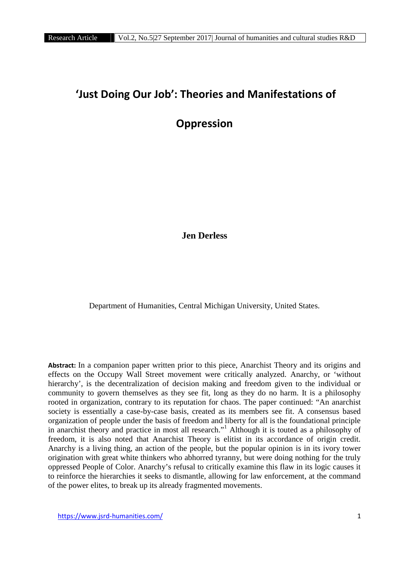# **'Just Doing Our Job': Theories and Manifestations of**

# **Oppression**

**Jen Derless**

Department of Humanities, Central Michigan University, United States.

**Abstract:** In a companion paper written prior to this piece, Anarchist Theory and its origins and effects on the Occupy Wall Street movement were critically analyzed. Anarchy, or 'without hierarchy', is the decentralization of decision making and freedom given to the individual or community to govern themselves as they see fit, long as they do no harm. It is a philosophy rooted in organization, contrary to its reputation for chaos. The paper continued: "An anarchist society is essentially a case-by-case basis, created as its members see fit. A consensus based organization of people under the basis of freedom and liberty for all is the foundational principle in anarchist theory and practice in most all research."<sup>1</sup> Although it is touted as a philosophy of freedom, it is also noted that Anarchist Theory is elitist in its accordance of origin credit. Anarchy is a living thing, an action of the people, but the popular opinion is in its ivory tower origination with great white thinkers who abhorred tyranny, but were doing nothing for the truly oppressed People of Color. Anarchy's refusal to critically examine this flaw in its logic causes it to reinforce the hierarchies it seeks to dismantle, allowing for law enforcement, at the command of the power elites, to break up its already fragmented movements.

https://www.jsrd-humanities.com/ 1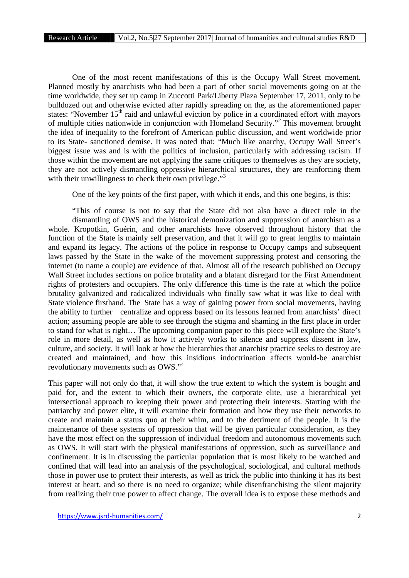One of the most recent manifestations of this is the Occupy Wall Street movement. Planned mostly by anarchists who had been a part of other social movements going on at the time worldwide, they set up camp in Zuccotti Park/Liberty Plaza September 17, 2011, only to be bulldozed out and otherwise evicted after rapidly spreading on the, as the aforementioned paper states: "November 15<sup>th</sup> raid and unlawful eviction by police in a coordinated effort with mayors of multiple cities nationwide in conjunction with Homeland Security."<sup>2</sup> This movement brought the idea of inequality to the forefront of American public discussion, and went worldwide prior to its State- sanctioned demise. It was noted that: "Much like anarchy, Occupy Wall Street's biggest issue was and is with the politics of inclusion, particularly with addressing racism. If those within the movement are not applying the same critiques to themselves as they are society, they are not actively dismantling oppressive hierarchical structures, they are reinforcing them with their unwillingness to check their own privilege."<sup>3</sup>

One of the key points of the first paper, with which it ends, and this one begins, is this:

"This of course is not to say that the State did not also have a direct role in the dismantling of OWS and the historical demonization and suppression of anarchism as a whole. Kropotkin, Guérin, and other anarchists have observed throughout history that the function of the State is mainly self preservation, and that it will go to great lengths to maintain and expand its legacy. The actions of the police in response to Occupy camps and subsequent laws passed by the State in the wake of the movement suppressing protest and censoring the internet (to name a couple) are evidence of that. Almost all of the research published on Occupy Wall Street includes sections on police brutality and a blatant disregard for the First Amendment rights of protesters and occupiers. The only difference this time is the rate at which the police brutality galvanized and radicalized individuals who finally saw what it was like to deal with State violence firsthand. The State has a way of gaining power from social movements, having the ability to further centralize and oppress based on its lessons learned from anarchists' direct action; assuming people are able to see through the stigma and shaming in the first place in order to stand for what is right… The upcoming companion paper to this piece will explore the State's role in more detail, as well as how it actively works to silence and suppress dissent in law, culture, and society. It will look at how the hierarchies that anarchist practice seeks to destroy are created and maintained, and how this insidious indoctrination affects would-be anarchist revolutionary movements such as OWS."<sup>4</sup>

This paper will not only do that, it will show the true extent to which the system is bought and paid for, and the extent to which their owners, the corporate elite, use a hierarchical yet intersectional approach to keeping their power and protecting their interests. Starting with the patriarchy and power elite, it will examine their formation and how they use their networks to create and maintain a status quo at their whim, and to the detriment of the people. It is the maintenance of these systems of oppression that will be given particular consideration, as they have the most effect on the suppression of individual freedom and autonomous movements such as OWS. It will start with the physical manifestations of oppression, such as surveillance and confinement. It is in discussing the particular population that is most likely to be watched and confined that will lead into an analysis of the psychological, sociological, and cultural methods those in power use to protect their interests, as well as trick the public into thinking it has its best interest at heart, and so there is no need to organize; while disenfranchising the silent majority from realizing their true power to affect change. The overall idea is to expose these methods and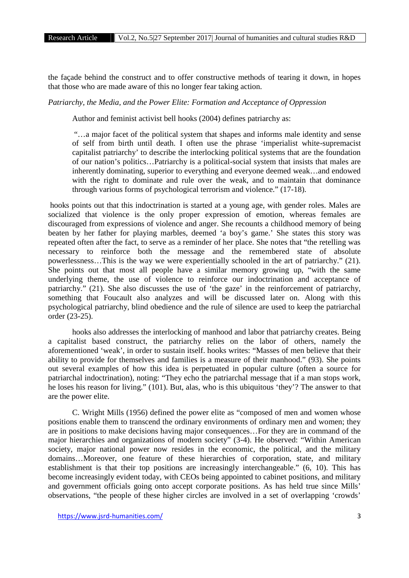the façade behind the construct and to offer constructive methods of tearing it down, in hopes that those who are made aware of this no longer fear taking action.

*Patriarchy, the Media, and the Power Elite: Formation and Acceptance of Oppression*

Author and feminist activist bell hooks (2004) defines patriarchy as:

"…a major facet of the political system that shapes and informs male identity and sense of self from birth until death. I often use the phrase 'imperialist white-supremacist capitalist patriarchy' to describe the interlocking political systems that are the foundation of our nation's politics…Patriarchy is a political-social system that insists that males are inherently dominating, superior to everything and everyone deemed weak…and endowed with the right to dominate and rule over the weak, and to maintain that dominance through various forms of psychological terrorism and violence." (17-18).

hooks points out that this indoctrination is started at a young age, with gender roles. Males are socialized that violence is the only proper expression of emotion, whereas females are discouraged from expressions of violence and anger. She recounts a childhood memory of being beaten by her father for playing marbles, deemed 'a boy's game.' She states this story was repeated often after the fact, to serve as a reminder of her place. She notes that "the retelling was necessary to reinforce both the message and the remembered state of absolute powerlessness…This is the way we were experientially schooled in the art of patriarchy." (21). She points out that most all people have a similar memory growing up, "with the same underlying theme, the use of violence to reinforce our indoctrination and acceptance of patriarchy." (21). She also discusses the use of 'the gaze' in the reinforcement of patriarchy, something that Foucault also analyzes and will be discussed later on. Along with this psychological patriarchy, blind obedience and the rule of silence are used to keep the patriarchal order (23-25).

hooks also addresses the interlocking of manhood and labor that patriarchy creates. Being a capitalist based construct, the patriarchy relies on the labor of others, namely the aforementioned 'weak', in order to sustain itself. hooks writes: "Masses of men believe that their ability to provide for themselves and families is a measure of their manhood." (93). She points out several examples of how this idea is perpetuated in popular culture (often a source for patriarchal indoctrination), noting: "They echo the patriarchal message that if a man stops work, he loses his reason for living." (101). But, alas, who is this ubiquitous 'they'? The answer to that are the power elite.

C. Wright Mills (1956) defined the power elite as "composed of men and women whose positions enable them to transcend the ordinary environments of ordinary men and women; they are in positions to make decisions having major consequences…For they are in command of the major hierarchies and organizations of modern society" (3-4). He observed: "Within American society, major national power now resides in the economic, the political, and the military domains…Moreover, one feature of these hierarchies of corporation, state, and military establishment is that their top positions are increasingly interchangeable." (6, 10). This has become increasingly evident today, with CEOs being appointed to cabinet positions, and military and government officials going onto accept corporate positions. As has held true since Mills' observations, "the people of these higher circles are involved in a set of overlapping 'crowds'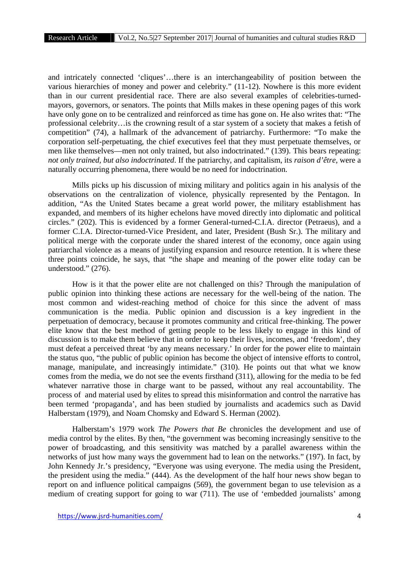and intricately connected 'cliques'…there is an interchangeability of position between the various hierarchies of money and power and celebrity." (11-12). Nowhere is this more evident than in our current presidential race. There are also several examples of celebrities-turned mayors, governors, or senators. The points that Mills makes in these opening pages of this work have only gone on to be centralized and reinforced as time has gone on. He also writes that: "The professional celebrity…is the crowning result of a star system of a society that makes a fetish of competition" (74), a hallmark of the advancement of patriarchy. Furthermore: "To make the corporation self-perpetuating, the chief executives feel that they must perpetuate themselves, or men like themselves—men not only trained, but also indoctrinated." (139). This bears repeating: *not only trained, but also indoctrinated*. If the patriarchy, and capitalism, its *raison d'être*, were a naturally occurring phenomena, there would be no need for indoctrination.

Mills picks up his discussion of mixing military and politics again in his analysis of the observations on the centralization of violence, physically represented by the Pentagon. In addition, "As the United States became a great world power, the military establishment has expanded, and members of its higher echelons have moved directly into diplomatic and political circles." (202). This is evidenced by a former General-turned-C.I.A. director (Petraeus), and a former C.I.A. Director-turned-Vice President, and later, President (Bush Sr.). The military and political merge with the corporate under the shared interest of the economy, once again using patriarchal violence as a means of justifying expansion and resource retention. It is where these three points coincide, he says, that "the shape and meaning of the power elite today can be understood." (276).

How is it that the power elite are not challenged on this? Through the manipulation of public opinion into thinking these actions are necessary for the well-being of the nation. The most common and widest-reaching method of choice for this since the advent of mass communication is the media. Public opinion and discussion is a key ingredient in the perpetuation of democracy, because it promotes community and critical free-thinking. The power elite know that the best method of getting people to be less likely to engage in this kind of discussion is to make them believe that in order to keep their lives, incomes, and 'freedom', they must defeat a perceived threat 'by any means necessary.' In order for the power elite to maintain the status quo, "the public of public opinion has become the object of intensive efforts to control, manage, manipulate, and increasingly intimidate." (310). He points out that what we know comes from the media, we do not see the events firsthand (311), allowing for the media to be fed whatever narrative those in charge want to be passed, without any real accountability. The process of and material used by elites to spread this misinformation and control the narrative has been termed 'propaganda', and has been studied by journalists and academics such as David Halberstam (1979), and Noam Chomsky and Edward S. Herman (2002).

Halberstam's 1979 work *The Powers that Be* chronicles the development and use of media control by the elites. By then, "the government was becoming increasingly sensitive to the power of broadcasting, and this sensitivity was matched by a parallel awareness within the networks of just how many ways the government had to lean on the networks." (197). In fact, by John Kennedy Jr.'s presidency, "Everyone was using everyone. The media using the President, the president using the media." (444). As the development of the half hour news show began to report on and influence political campaigns (569), the government began to use television as a medium of creating support for going to war (711). The use of 'embedded journalists' among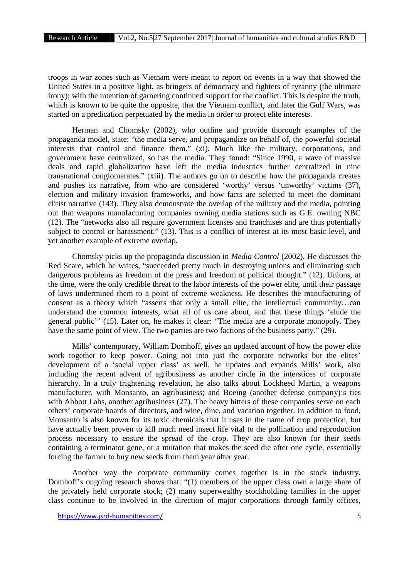troops in war zones such as Vietnam were meant to report on events in a way that showed the United States in a positive light, as bringers of democracy and fighters of tyranny (the ultimate irony); with the intention of garnering continued support for the conflict. This is despite the truth, which is known to be quite the opposite, that the Vietnam conflict, and later the Gulf Wars, was started on a predication perpetuated by the media in order to protect elite interests.

Herman and Chomsky (2002), who outline and provide thorough examples of the propaganda model, state: "the media serve, and propagandize on behalf of, the powerful societal interests that control and finance them." (xi). Much like the military, corporations, and government have centralized, so has the media. They found: "Since 1990, a wave of massive deals and rapid globalization have left the media industries further centralized in nine transnational conglomerates." (xiii). The authors go on to describe how the propaganda creates and pushes its narrative, from who are considered 'worthy' versus 'unworthy' victims (37), election and military invasion frameworks, and how facts are selected to meet the dominant elitist narrative (143). They also demonstrate the overlap of the military and the media, pointing out that weapons manufacturing companies owning media stations such as G.E. owning NBC (12). The "networks also all require government licenses and franchises and are thus potentially subject to control or harassment." (13). This is a conflict of interest at its most basic level, and yet another example of extreme overlap.

Chomsky picks up the propaganda discussion in *Media Control* (2002). He discusses the Red Scare, which he writes, "succeeded pretty much in destroying unions and eliminating such dangerous problems as freedom of the press and freedom of political thought." (12). Unions, at the time, were the only credible threat to the labor interests of the power elite, until their passage of laws undermined them to a point of extreme weakness. He describes the manufacturing of consent as a theory which "asserts that only a small elite, the intellectual community…can understand the common interests, what all of us care about, and that these things 'elude the general public'" (15). Later on, he makes it clear: "The media are a corporate monopoly. They have the same point of view. The two parties are two factions of the business party." (29).

Mills' contemporary, William Domhoff, gives an updated account of how the power elite work together to keep power. Going not into just the corporate networks but the elites' development of a 'social upper class' as well, he updates and expands Mills' work, also including the recent advent of agribusiness as another circle in the interstices of corporate hierarchy. In a truly frightening revelation, he also talks about Lockheed Martin, a weapons manufacturer, with Monsanto, an agribusiness; and Boeing (another defense company)'s ties with Abbott Labs, another agribusiness (27). The heavy hitters of these companies serve on each others' corporate boards of directors, and wine, dine, and vacation together. In addition to food, Monsanto is also known for its toxic chemicals that it uses in the name of crop protection, but have actually been proven to kill much need insect life vital to the pollination and reproduction process necessary to ensure the spread of the crop. They are also known for their seeds containing a terminator gene, or a mutation that makes the seed die after one cycle, essentially forcing the farmer to buy new seeds from them year after year.

Another way the corporate community comes together is in the stock industry. Domhoff's ongoing research shows that: "(1) members of the upper class own a large share of the privately held corporate stock; (2) many superwealthy stockholding families in the upper class continue to be involved in the direction of major corporations through family offices,

https://www.jsrd-humanities.com/ 5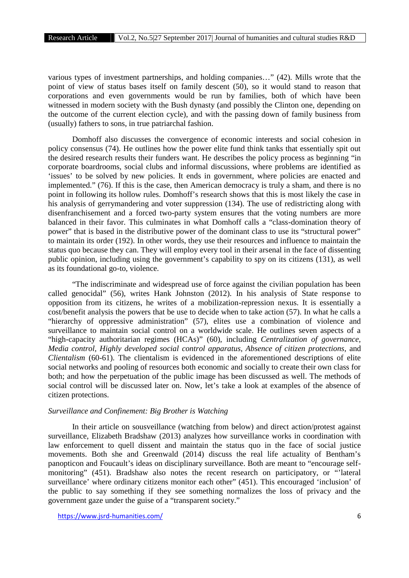various types of investment partnerships, and holding companies…" (42). Mills wrote that the point of view of status bases itself on family descent (50), so it would stand to reason that corporations and even governments would be run by families, both of which have been witnessed in modern society with the Bush dynasty (and possibly the Clinton one, depending on the outcome of the current election cycle), and with the passing down of family business from (usually) fathers to sons, in true patriarchal fashion.

Domhoff also discusses the convergence of economic interests and social cohesion in policy consensus (74). He outlines how the power elite fund think tanks that essentially spit out the desired research results their funders want. He describes the policy process as beginning "in corporate boardrooms, social clubs and informal discussions, where problems are identified as 'issues' to be solved by new policies. It ends in government, where policies are enacted and implemented." (76). If this is the case, then American democracy is truly a sham, and there is no point in following its hollow rules. Domhoff's research shows that this is most likely the case in his analysis of gerrymandering and voter suppression (134). The use of redistricting along with disenfranchisement and a forced two-party system ensures that the voting numbers are more balanced in their favor. This culminates in what Domhoff calls a "class-domination theory of power" that is based in the distributive power of the dominant class to use its "structural power" to maintain its order (192). In other words, they use their resources and influence to maintain the status quo because they can. They will employ every tool in their arsenal in the face of dissenting public opinion, including using the government's capability to spy on its citizens (131), as well as its foundational go-to, violence.

"The indiscriminate and widespread use of force against the civilian population has been called genocidal" (56), writes Hank Johnston (2012). In his analysis of State response to opposition from its citizens, he writes of a mobilization-repression nexus. It is essentially a cost/benefit analysis the powers that be use to decide when to take action (57). In what he calls a "hierarchy of oppressive administration" (57), elites use a combination of violence and surveillance to maintain social control on a worldwide scale. He outlines seven aspects of a "high-capacity authoritarian regimes (HCAs)" (60), including *Centralization of governance, Media control, Highly developed social control apparatus, Absence of citizen protections,* and *Clientalism* (60-61). The clientalism is evidenced in the aforementioned descriptions of elite social networks and pooling of resources both economic and socially to create their own class for both; and how the perpetuation of the public image has been discussed as well. The methods of social control will be discussed later on. Now, let's take a look at examples of the absence of citizen protections.

## *Surveillance and Confinement: Big Brother is Watching*

In their article on sousveillance (watching from below) and direct action/protest against surveillance, Elizabeth Bradshaw (2013) analyzes how surveillance works in coordination with law enforcement to quell dissent and maintain the status quo in the face of social justice movements. Both she and Greenwald (2014) discuss the real life actuality of Bentham's panopticon and Foucault's ideas on disciplinary surveillance. Both are meant to "encourage self monitoring" (451). Bradshaw also notes the recent research on participatory, or "'lateral surveillance' where ordinary citizens monitor each other" (451). This encouraged 'inclusion' of the public to say something if they see something normalizes the loss of privacy and the government gaze under the guise of a "transparent society."

https://www.jsrd-humanities.com/ 6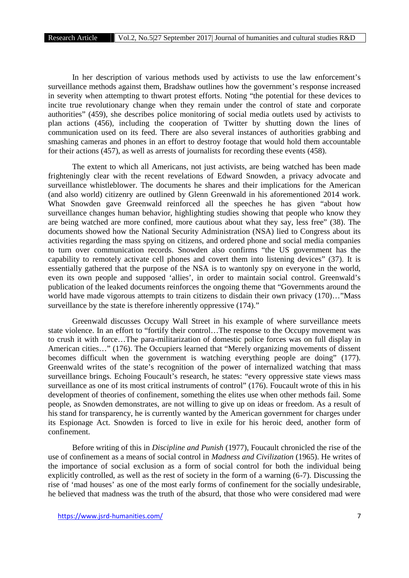In her description of various methods used by activists to use the law enforcement's surveillance methods against them, Bradshaw outlines how the government's response increased in severity when attempting to thwart protest efforts. Noting "the potential for these devices to incite true revolutionary change when they remain under the control of state and corporate authorities" (459), she describes police monitoring of social media outlets used by activists to plan actions (456), including the cooperation of Twitter by shutting down the lines of communication used on its feed. There are also several instances of authorities grabbing and smashing cameras and phones in an effort to destroy footage that would hold them accountable for their actions (457), as well as arrests of journalists for recording these events (458).

The extent to which all Americans, not just activists, are being watched has been made frighteningly clear with the recent revelations of Edward Snowden, a privacy advocate and surveillance whistleblower. The documents he shares and their implications for the American (and also world) citizenry are outlined by Glenn Greenwald in his aforementioned 2014 work. What Snowden gave Greenwald reinforced all the speeches he has given "about how surveillance changes human behavior, highlighting studies showing that people who know they are being watched are more confined, more cautious about what they say, less free" (38). The documents showed how the National Security Administration (NSA) lied to Congress about its activities regarding the mass spying on citizens, and ordered phone and social media companies to turn over communication records. Snowden also confirms "the US government has the capability to remotely activate cell phones and covert them into listening devices" (37). It is essentially gathered that the purpose of the NSA is to wantonly spy on everyone in the world, even its own people and supposed 'allies', in order to maintain social control. Greenwald's publication of the leaked documents reinforces the ongoing theme that "Governments around the world have made vigorous attempts to train citizens to disdain their own privacy  $(170)$ ..."Mass surveillance by the state is therefore inherently oppressive  $(174)$ ."

Greenwald discusses Occupy Wall Street in his example of where surveillance meets state violence. In an effort to "fortify their control…The response to the Occupy movement was to crush it with force…The para-militarization of domestic police forces was on full display in American cities…" (176). The Occupiers learned that "Merely organizing movements of dissent becomes difficult when the government is watching everything people are doing" (177). Greenwald writes of the state's recognition of the power of internalized watching that mass surveillance brings. Echoing Foucault's research, he states: "every oppressive state views mass surveillance as one of its most critical instruments of control" (176). Foucault wrote of this in his development of theories of confinement, something the elites use when other methods fail. Some people, as Snowden demonstrates, are not willing to give up on ideas or freedom. As a result of his stand for transparency, he is currently wanted by the American government for charges under its Espionage Act. Snowden is forced to live in exile for his heroic deed, another form of confinement.

Before writing of this in *Discipline and Punish* (1977), Foucault chronicled the rise of the use of confinement as a means of social control in *Madness and Civilization* (1965). He writes of the importance of social exclusion as a form of social control for both the individual being explicitly controlled, as well as the rest of society in the form of a warning (6-7). Discussing the rise of 'mad houses' as one of the most early forms of confinement for the socially undesirable, he believed that madness was the truth of the absurd, that those who were considered mad were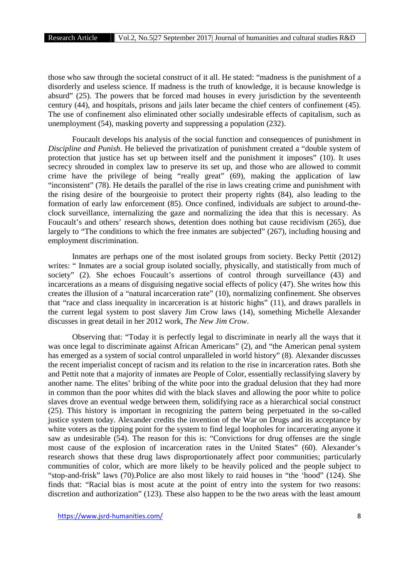those who saw through the societal construct of it all. He stated: "madness is the punishment of a disorderly and useless science. If madness is the truth of knowledge, it is because knowledge is absurd" (25). The powers that be forced mad houses in every jurisdiction by the seventeenth century (44), and hospitals, prisons and jails later became the chief centers of confinement (45). The use of confinement also eliminated other socially undesirable effects of capitalism, such as unemployment (54), masking poverty and suppressing a population (232).

Foucault develops his analysis of the social function and consequences of punishment in *Discipline and Punish*. He believed the privatization of punishment created a "double system of protection that justice has set up between itself and the punishment it imposes" (10). It uses secrecy shrouded in complex law to preserve its set up, and those who are allowed to commit crime have the privilege of being "really great" (69), making the application of law "inconsistent" (78). He details the parallel of the rise in laws creating crime and punishment with the rising desire of the bourgeoisie to protect their property rights (84), also leading to the formation of early law enforcement (85). Once confined, individuals are subject to around-the clock surveillance, internalizing the gaze and normalizing the idea that this is necessary. As Foucault's and others' research shows, detention does nothing but cause recidivism (265), due largely to "The conditions to which the free inmates are subjected" (267), including housing and employment discrimination.

Inmates are perhaps one of the most isolated groups from society. Becky Pettit (2012) writes: "Inmates are a social group isolated socially, physically, and statistically from much of society" (2). She echoes Foucault's assertions of control through surveillance (43) and incarcerations as a means of disguising negative social effects of policy (47). She writes how this creates the illusion of a "natural incarceration rate" (10), normalizing confinement. She observes that "race and class inequality in incarceration is at historic highs" (11), and draws parallels in the current legal system to post slavery Jim Crow laws (14), something Michelle Alexander discusses in great detail in her 2012 work, *The New Jim Crow*.

Observing that: "Today it is perfectly legal to discriminate in nearly all the ways that it was once legal to discriminate against African Americans" (2), and "the American penal system has emerged as a system of social control unparalleled in world history" (8). Alexander discusses the recent imperialist concept of racism and its relation to the rise in incarceration rates. Both she and Pettit note that a majority of inmates are People of Color, essentially reclassifying slavery by another name. The elites' bribing of the white poor into the gradual delusion that they had more in common than the poor whites did with the black slaves and allowing the poor white to police slaves drove an eventual wedge between them, solidifying race as a hierarchical social construct (25). This history is important in recognizing the pattern being perpetuated in the so-called justice system today. Alexander credits the invention of the War on Drugs and its acceptance by white voters as the tipping point for the system to find legal loopholes for incarcerating anyone it saw as undesirable (54). The reason for this is: "Convictions for drug offenses are the single most cause of the explosion of incarceration rates in the United States" (60). Alexander's research shows that these drug laws disproportionately affect poor communities; particularly communities of color, which are more likely to be heavily policed and the people subject to "stop-and-frisk" laws (70).Police are also most likely to raid houses in "the 'hood" (124). She finds that: "Racial bias is most acute at the point of entry into the system for two reasons: discretion and authorization" (123). These also happen to be the two areas with the least amount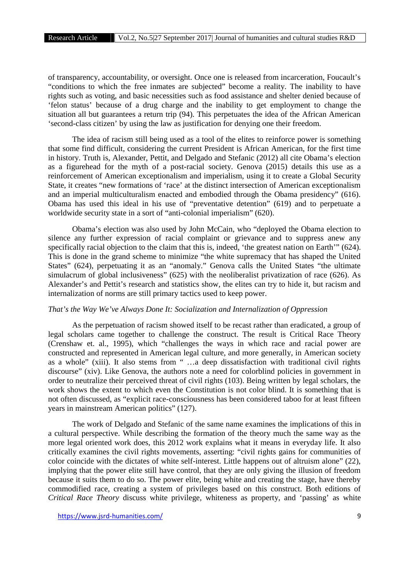of transparency, accountability, or oversight. Once one is released from incarceration, Foucault's "conditions to which the free inmates are subjected" become a reality. The inability to have rights such as voting, and basic necessities such as food assistance and shelter denied because of 'felon status' because of a drug charge and the inability to get employment to change the situation all but guarantees a return trip (94). This perpetuates the idea of the African American 'second-class citizen' by using the law as justification for denying one their freedom.

The idea of racism still being used as a tool of the elites to reinforce power is something that some find difficult, considering the current President is African American, for the first time in history. Truth is, Alexander, Pettit, and Delgado and Stefanic (2012) all cite Obama's election as a figurehead for the myth of a post-racial society. Genova (2015) details this use as a reinforcement of American exceptionalism and imperialism, using it to create a Global Security State, it creates "new formations of 'race' at the distinct intersection of American exceptionalism and an imperial multiculturalism enacted and embodied through the Obama presidency" (616). Obama has used this ideal in his use of "preventative detention" (619) and to perpetuate a worldwide security state in a sort of "anti-colonial imperialism" (620).

Obama's election was also used by John McCain, who "deployed the Obama election to silence any further expression of racial complaint or grievance and to suppress anew any specifically racial objection to the claim that this is, indeed, 'the greatest nation on Earth'" (624). This is done in the grand scheme to minimize "the white supremacy that has shaped the United States" (624), perpetuating it as an "anomaly." Genova calls the United States "the ultimate simulacrum of global inclusiveness" (625) with the neoliberalist privatization of race (626). As Alexander's and Pettit's research and statistics show, the elites can try to hide it, but racism and internalization of norms are still primary tactics used to keep power.

#### *That's the Way We've Always Done It: Socialization and Internalization of Oppression*

As the perpetuation of racism showed itself to be recast rather than eradicated, a group of legal scholars came together to challenge the construct. The result is Critical Race Theory (Crenshaw et. al., 1995), which "challenges the ways in which race and racial power are constructed and represented in American legal culture, and more generally, in American society as a whole" (xiii). It also stems from " …a deep dissatisfaction with traditional civil rights discourse" (xiv). Like Genova, the authors note a need for colorblind policies in government in order to neutralize their perceived threat of civil rights (103). Being written by legal scholars, the work shows the extent to which even the Constitution is not color blind. It is something that is not often discussed, as "explicit race-consciousness has been considered taboo for at least fifteen years in mainstream American politics" (127).

The work of Delgado and Stefanic of the same name examines the implications of this in a cultural perspective. While describing the formation of the theory much the same way as the more legal oriented work does, this 2012 work explains what it means in everyday life. It also critically examines the civil rights movements, asserting: "civil rights gains for communities of color coincide with the dictates of white self-interest. Little happens out of altruism alone" (22), implying that the power elite still have control, that they are only giving the illusion of freedom because it suits them to do so. The power elite, being white and creating the stage, have thereby commodified race, creating a system of privileges based on this construct. Both editions of *Critical Race Theory* discuss white privilege, whiteness as property, and 'passing' as white

https://www.jsrd-humanities.com/ 9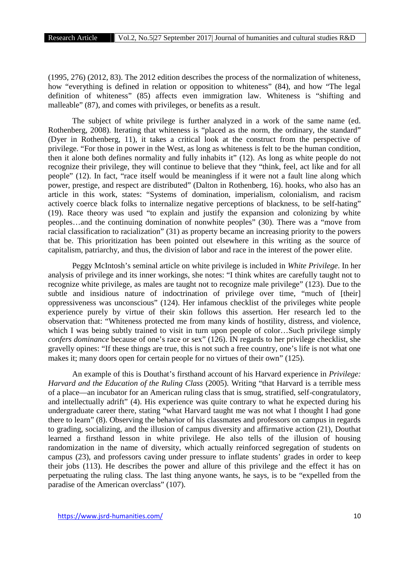(1995, 276) (2012, 83). The 2012 edition describes the process of the normalization of whiteness, how "everything is defined in relation or opposition to whiteness" (84), and how "The legal definition of whiteness" (85) affects even immigration law. Whiteness is "shifting and malleable" (87), and comes with privileges, or benefits as a result.

The subject of white privilege is further analyzed in a work of the same name (ed. Rothenberg, 2008). Iterating that whiteness is "placed as the norm, the ordinary, the standard" (Dyer in Rothenberg, 11), it takes a critical look at the construct from the perspective of privilege. "For those in power in the West, as long as whiteness is felt to be the human condition, then it alone both defines normality and fully inhabits it" (12). As long as white people do not recognize their privilege, they will continue to believe that they "think, feel, act like and for all people" (12). In fact, "race itself would be meaningless if it were not a fault line along which power, prestige, and respect are distributed" (Dalton in Rothenberg, 16). hooks, who also has an article in this work, states: "Systems of domination, imperialism, colonialism, and racism actively coerce black folks to internalize negative perceptions of blackness, to be self-hating" (19). Race theory was used "to explain and justify the expansion and colonizing by white peoples…and the continuing domination of nonwhite peoples" (30). There was a "move from racial classification to racialization" (31) as property became an increasing priority to the powers that be. This prioritization has been pointed out elsewhere in this writing as the source of capitalism, patriarchy, and thus, the division of labor and race in the interest of the power elite.

Peggy McIntosh's seminal article on white privilege is included in *White Privilege*. In her analysis of privilege and its inner workings, she notes: "I think whites are carefully taught not to recognize white privilege, as males are taught not to recognize male privilege" (123). Due to the subtle and insidious nature of indoctrination of privilege over time, "much of [their] oppressiveness was unconscious" (124). Her infamous checklist of the privileges white people experience purely by virtue of their skin follows this assertion. Her research led to the observation that: "Whiteness protected me from many kinds of hostility, distress, and violence, which I was being subtly trained to visit in turn upon people of color...Such privilege simply *confers dominance* because of one's race or sex" (126). IN regards to her privilege checklist, she gravelly opines: "If these things are true, this is not such a free country, one's life is not what one makes it; many doors open for certain people for no virtues of their own" (125).

An example of this is Douthat's firsthand account of his Harvard experience in *Privilege: Harvard and the Education of the Ruling Class* (2005). Writing "that Harvard is a terrible mess of a place—an incubator for an American ruling class that is smug, stratified, self-congratulatory, and intellectually adrift" (4). His experience was quite contrary to what he expected during his undergraduate career there, stating "what Harvard taught me was not what I thought I had gone there to learn" (8). Observing the behavior of his classmates and professors on campus in regards to grading, socializing, and the illusion of campus diversity and affirmative action (21), Douthat learned a firsthand lesson in white privilege. He also tells of the illusion of housing randomization in the name of diversity, which actually reinforced segregation of students on campus (23), and professors caving under pressure to inflate students' grades in order to keep their jobs (113). He describes the power and allure of this privilege and the effect it has on perpetuating the ruling class. The last thing anyone wants, he says, is to be "expelled from the paradise of the American overclass" (107).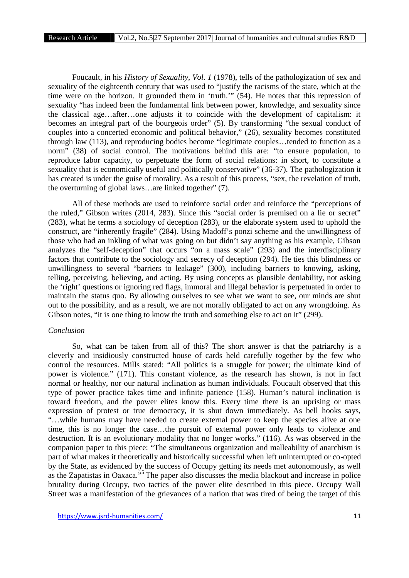Foucault, in his *History of Sexuality, Vol. 1* (1978), tells of the pathologization of sex and sexuality of the eighteenth century that was used to "justify the racisms of the state, which at the time were on the horizon. It grounded them in 'truth.'" (54). He notes that this repression of sexuality "has indeed been the fundamental link between power, knowledge, and sexuality since the classical age…after…one adjusts it to coincide with the development of capitalism: it becomes an integral part of the bourgeois order" (5). By transforming "the sexual conduct of couples into a concerted economic and political behavior," (26), sexuality becomes constituted through law (113), and reproducing bodies become "legitimate couples…tended to function as a norm" (38) of social control. The motivations behind this are: "to ensure population, to reproduce labor capacity, to perpetuate the form of social relations: in short, to constitute a sexuality that is economically useful and politically conservative" (36-37). The pathologization it has created is under the guise of morality. As a result of this process, "sex, the revelation of truth, the overturning of global laws…are linked together" (7).

All of these methods are used to reinforce social order and reinforce the "perceptions of the ruled," Gibson writes (2014, 283). Since this "social order is premised on a lie or secret" (283), what he terms a sociology of deception (283), or the elaborate system used to uphold the construct, are "inherently fragile" (284). Using Madoff's ponzi scheme and the unwillingness of those who had an inkling of what was going on but didn't say anything as his example, Gibson analyzes the "self-deception" that occurs "on a mass scale" (293) and the interdisciplinary factors that contribute to the sociology and secrecy of deception (294). He ties this blindness or unwillingness to several "barriers to leakage" (300), including barriers to knowing, asking, telling, perceiving, believing, and acting. By using concepts as plausible deniability, not asking the 'right' questions or ignoring red flags, immoral and illegal behavior is perpetuated in order to maintain the status quo. By allowing ourselves to see what we want to see, our minds are shut out to the possibility, and as a result, we are not morally obligated to act on any wrongdoing. As Gibson notes, "it is one thing to know the truth and something else to act on it" (299).

### *Conclusion*

So, what can be taken from all of this? The short answer is that the patriarchy is a cleverly and insidiously constructed house of cards held carefully together by the few who control the resources. Mills stated: "All politics is a struggle for power; the ultimate kind of power is violence." (171). This constant violence, as the research has shown, is not in fact normal or healthy, nor our natural inclination as human individuals. Foucault observed that this type of power practice takes time and infinite patience (158). Human's natural inclination is toward freedom, and the power elites know this. Every time there is an uprising or mass expression of protest or true democracy, it is shut down immediately. As bell hooks says, "…while humans may have needed to create external power to keep the species alive at one time, this is no longer the case…the pursuit of external power only leads to violence and destruction. It is an evolutionary modality that no longer works." (116). As was observed in the companion paper to this piece: "The simultaneous organization and malleability of anarchism is part of what makes it theoretically and historically successful when left uninterrupted or co-opted by the State, as evidenced by the success of Occupy getting its needs met autonomously, as well as the Zapatistas in Oaxaca."<sup>5</sup> The paper also discusses the media blackout and increase in police brutality during Occupy, two tactics of the power elite described in this piece. Occupy Wall Street was a manifestation of the grievances of a nation that was tired of being the target of this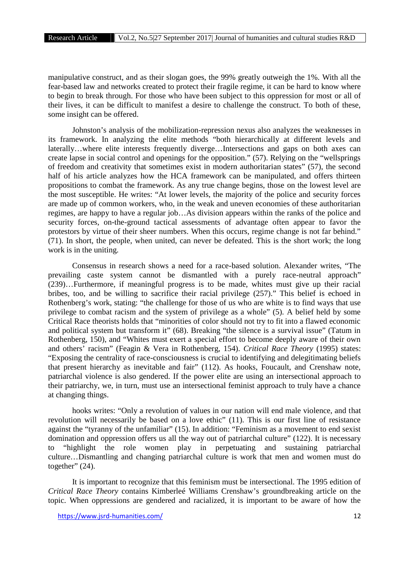manipulative construct, and as their slogan goes, the 99% greatly outweigh the 1%. With all the fear-based law and networks created to protect their fragile regime, it can be hard to know where to begin to break through. For those who have been subject to this oppression for most or all of their lives, it can be difficult to manifest a desire to challenge the construct. To both of these, some insight can be offered.

Johnston's analysis of the mobilization-repression nexus also analyzes the weaknesses in its framework. In analyzing the elite methods "both hierarchically at different levels and laterally…where elite interests frequently diverge…Intersections and gaps on both axes can create lapse in social control and openings for the opposition." (57). Relying on the "wellsprings of freedom and creativity that sometimes exist in modern authoritarian states" (57), the second half of his article analyzes how the HCA framework can be manipulated, and offers thirteen propositions to combat the framework. As any true change begins, those on the lowest level are the most susceptible. He writes: "At lower levels, the majority of the police and security forces are made up of common workers, who, in the weak and uneven economies of these authoritarian regimes, are happy to have a regular job…As division appears within the ranks of the police and security forces, on-the-ground tactical assessments of advantage often appear to favor the protestors by virtue of their sheer numbers. When this occurs, regime change is not far behind." (71). In short, the people, when united, can never be defeated. This is the short work; the long work is in the uniting.

Consensus in research shows a need for a race-based solution. Alexander writes, "The prevailing caste system cannot be dismantled with a purely race-neutral approach" (239)…Furthermore, if meaningful progress is to be made, whites must give up their racial bribes, too, and be willing to sacrifice their racial privilege (257)." This belief is echoed in Rothenberg's work, stating: "the challenge for those of us who are white is to find ways that use privilege to combat racism and the system of privilege as a whole" (5). A belief held by some Critical Race theorists holds that "minorities of color should not try to fit into a flawed economic and political system but transform it" (68). Breaking "the silence is a survival issue" (Tatum in Rothenberg, 150), and "Whites must exert a special effort to become deeply aware of their own and others' racism" (Feagin & Vera in Rothenberg, 154). *Critical Race Theory* (1995) states: "Exposing the centrality of race-consciousness is crucial to identifying and delegitimating beliefs that present hierarchy as inevitable and fair" (112). As hooks, Foucault, and Crenshaw note, patriarchal violence is also gendered. If the power elite are using an intersectional approach to their patriarchy, we, in turn, must use an intersectional feminist approach to truly have a chance at changing things.

hooks writes: "Only a revolution of values in our nation will end male violence, and that revolution will necessarily be based on a love ethic" (11). This is our first line of resistance against the "tyranny of the unfamiliar" (15). In addition: "Feminism as a movement to end sexist domination and oppression offers us all the way out of patriarchal culture" (122). It is necessary to "highlight the role women play in perpetuating and sustaining patriarchal culture…Dismantling and changing patriarchal culture is work that men and women must do together" (24).

It is important to recognize that this feminism must be intersectional. The 1995 edition of *Critical Race Theory* contains Kimberleé Williams Crenshaw's groundbreaking article on the topic. When oppressions are gendered and racialized, it is important to be aware of how the

https://www.jsrd-humanities.com/ 12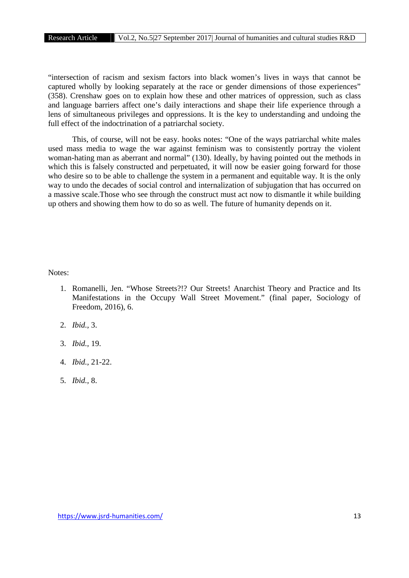"intersection of racism and sexism factors into black women's lives in ways that cannot be captured wholly by looking separately at the race or gender dimensions of those experiences" (358). Crenshaw goes on to explain how these and other matrices of oppression, such as class and language barriers affect one's daily interactions and shape their life experience through a lens of simultaneous privileges and oppressions. It is the key to understanding and undoing the full effect of the indoctrination of a patriarchal society.

This, of course, will not be easy. hooks notes: "One of the ways patriarchal white males used mass media to wage the war against feminism was to consistently portray the violent woman-hating man as aberrant and normal" (130). Ideally, by having pointed out the methods in which this is falsely constructed and perpetuated, it will now be easier going forward for those who desire so to be able to challenge the system in a permanent and equitable way. It is the only way to undo the decades of social control and internalization of subjugation that has occurred on a massive scale.Those who see through the construct must act now to dismantle it while building up others and showing them how to do so as well. The future of humanity depends on it.

Notes:

- 1. Romanelli, Jen. "Whose Streets?!? Our Streets! Anarchist Theory and Practice and Its Manifestations in the Occupy Wall Street Movement." (final paper, Sociology of Freedom, 2016), 6.
- 2. *Ibid.,* 3.
- 3. *Ibid.,* 19.
- 4. *Ibid.,* 21-22.
- 5. *Ibid.,* 8.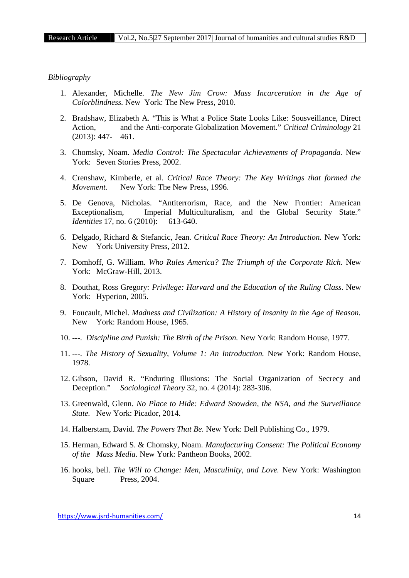### *Bibliography*

- 1. Alexander, Michelle. *The New Jim Crow: Mass Incarceration in the Age of Colorblindness.* New York: The New Press, 2010.
- 2. Bradshaw, Elizabeth A. "This is What a Police State Looks Like: Sousveillance, Direct Action, and the Anti-corporate Globalization Movement." *Critical Criminology* 21 (2013): 447- 461.
- 3. Chomsky, Noam. *Media Control: The Spectacular Achievements of Propaganda.* New York: Seven Stories Press, 2002.
- 4. Crenshaw, Kimberle, et al. *Critical Race Theory: The Key Writings that formed the Movement.* New York: The New Press, 1996.
- 5. De Genova, Nicholas. "Antiterrorism, Race, and the New Frontier: American Exceptionalism, Imperial Multiculturalism, and the Global Security State." *Identities* 17, no. 6 (2010): 613-640.
- 6. Delgado, Richard & Stefancic, Jean. *Critical Race Theory: An Introduction.* New York: New York University Press, 2012.
- 7. Domhoff, G. William. *Who Rules America? The Triumph of the Corporate Rich.* New York: McGraw-Hill, 2013.
- 8. Douthat, Ross Gregory: *Privilege: Harvard and the Education of the Ruling Class*. New York: Hyperion, 2005.
- 9. Foucault, Michel. *Madness and Civilization: A History of Insanity in the Age of Reason.* New York: Random House, 1965.
- 10. ---. *Discipline and Punish: The Birth of the Prison.* New York: Random House, 1977.
- 11. ---. *The History of Sexuality, Volume 1: An Introduction.* New York: Random House, 1978.
- 12. Gibson, David R. "Enduring Illusions: The Social Organization of Secrecy and Deception." *Sociological Theory* 32, no. 4 (2014): 283-306.
- 13. Greenwald, Glenn. *No Place to Hide: Edward Snowden, the NSA, and the Surveillance State.* New York: Picador, 2014.
- 14. Halberstam, David. *The Powers That Be.* New York: Dell Publishing Co., 1979.
- 15. Herman, Edward S. & Chomsky, Noam. *Manufacturing Consent: The Political Economy of the Mass Media.* New York: Pantheon Books, 2002.
- 16. hooks, bell. *The Will to Change: Men, Masculinity, and Love.* New York: Washington Square Press, 2004.